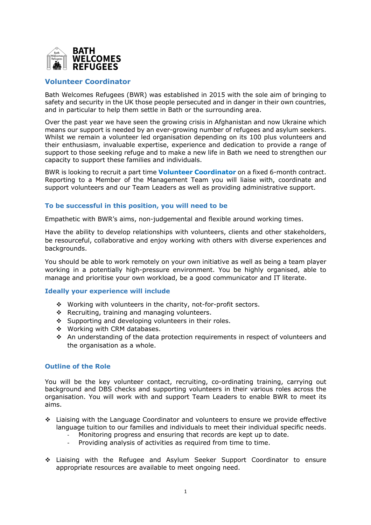

## **Volunteer Coordinator**

Bath Welcomes Refugees (BWR) was established in 2015 with the sole aim of bringing to safety and security in the UK those people persecuted and in danger in their own countries, and in particular to help them settle in Bath or the surrounding area.

Over the past year we have seen the growing crisis in Afghanistan and now Ukraine which means our support is needed by an ever-growing number of refugees and asylum seekers. Whilst we remain a volunteer led organisation depending on its 100 plus volunteers and their enthusiasm, invaluable expertise, experience and dedication to provide a range of support to those seeking refuge and to make a new life in Bath we need to strengthen our capacity to support these families and individuals.

BWR is looking to recruit a part time **Volunteer Coordinator** on a fixed 6-month contract. Reporting to a Member of the Management Team you will liaise with, coordinate and support volunteers and our Team Leaders as well as providing administrative support.

## **To be successful in this position, you will need to be**

Empathetic with BWR's aims, non-judgemental and flexible around working times.

Have the ability to develop relationships with volunteers, clients and other stakeholders, be resourceful, collaborative and enjoy working with others with diverse experiences and backgrounds.

You should be able to work remotely on your own initiative as well as being a team player working in a potentially high-pressure environment. You be highly organised, able to manage and prioritise your own workload, be a good communicator and IT literate.

## **Ideally your experience will include**

- \* Working with volunteers in the charity, not-for-profit sectors.
- $\div$  Recruiting, training and managing volunteers.
- $\div$  Supporting and developing volunteers in their roles.
- ❖ Working with CRM databases.
- \* An understanding of the data protection requirements in respect of volunteers and the organisation as a whole.

## **Outline of the Role**

You will be the key volunteer contact, recruiting, co-ordinating training, carrying out background and DBS checks and supporting volunteers in their various roles across the organisation. You will work with and support Team Leaders to enable BWR to meet its aims.

- \* Liaising with the Language Coordinator and volunteers to ensure we provide effective language tuition to our families and individuals to meet their individual specific needs.
	- Monitoring progress and ensuring that records are kept up to date.
	- Providing analysis of activities as required from time to time.
- $\div$  Liaising with the Refugee and Asylum Seeker Support Coordinator to ensure appropriate resources are available to meet ongoing need.